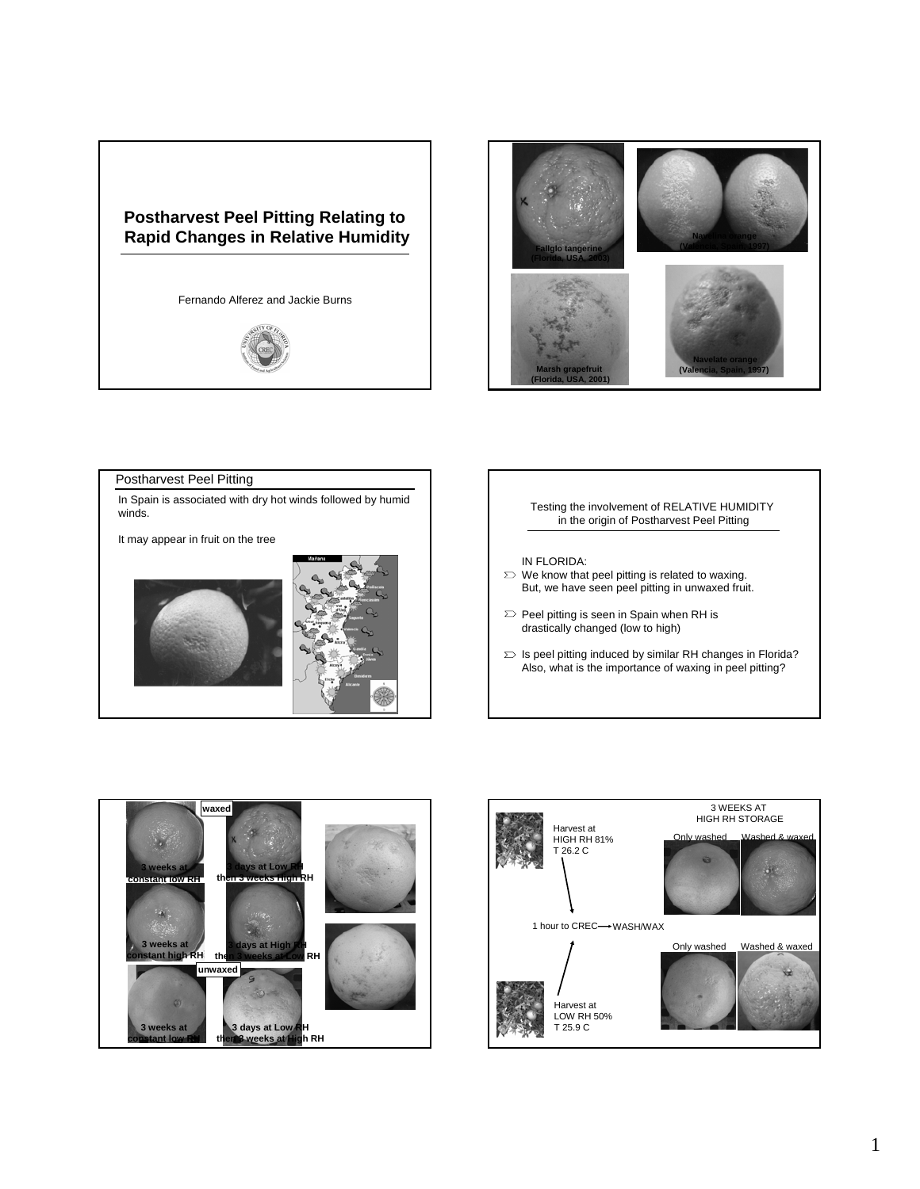## **Postharvest Peel Pitting Relating to Rapid Changes in Relative Humidity**

Fernando Alferez and Jackie Burns





## Postharvest Peel Pitting In Spain is associated with dry hot winds followed by humid winds. It may appear in fruit on the tree Testing the involvement of RELATIVE HUMIDITY in the origin of Postharvest Peel Pitting IN FLORIDA:  $\sum$  We know that peel pitting is related to waxing. But, we have seen peel pitting in unwaxed fruit.  $\Sigma$  Peel pitting is seen in Spain when RH is drastically changed (low to high)  $\sum$  Is peel pitting induced by similar RH changes in Florida? Also, what is the importance of waxing in peel pitting?